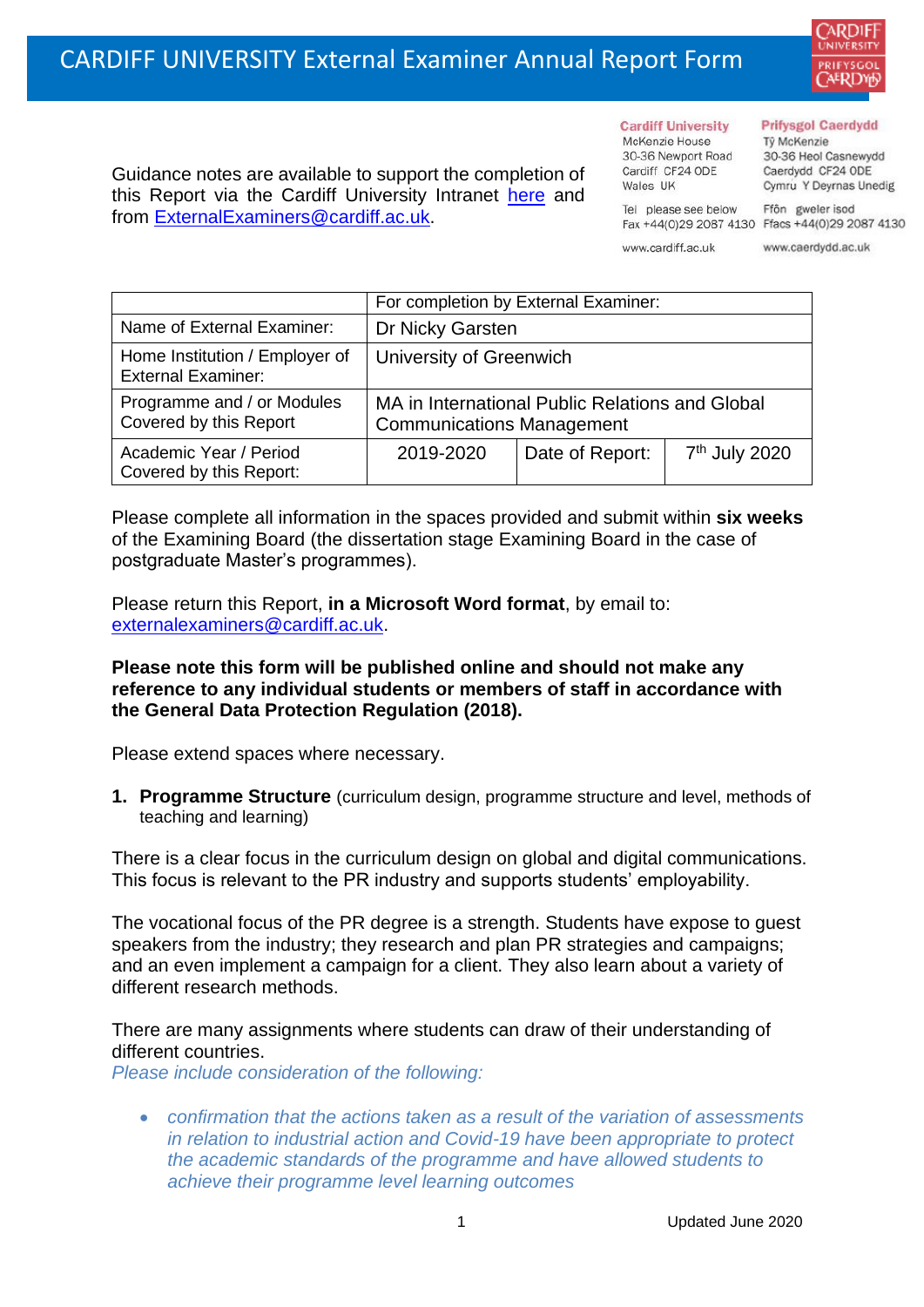

Guidance notes are available to support the completion of this Report via the Cardiff University Intranet [here](https://intranet.cardiff.ac.uk/staff/teaching-and-supporting-students/exams-and-assessment/exam-boards-and-external-examiners/for-current-external-examiners/external-examiners-reports) and from [ExternalExaminers@cardiff.ac.uk.](mailto:ExternalExaminers@cardiff.ac.uk)

**Cardiff University** McKenzie House 30-36 Newport Road Cardiff CF24 ODE

Wales IIK

#### **Prifysgol Caerdydd**

Từ McKenzie 30-36 Heol Casnewydd Caerdydd CF24 ODE Cymru Y Deyrnas Unedig

Ffôn gweler isod Fax +44(0)29 2087 4130 Ffacs +44(0)29 2087 4130

www.cardiff.ac.uk

Tel please see below

www.caerdydd.ac.uk

|                                                             | For completion by External Examiner:                                                |                 |                           |
|-------------------------------------------------------------|-------------------------------------------------------------------------------------|-----------------|---------------------------|
| Name of External Examiner:                                  | Dr Nicky Garsten                                                                    |                 |                           |
| Home Institution / Employer of<br><b>External Examiner:</b> | University of Greenwich                                                             |                 |                           |
| Programme and / or Modules<br>Covered by this Report        | MA in International Public Relations and Global<br><b>Communications Management</b> |                 |                           |
| Academic Year / Period<br>Covered by this Report:           | 2019-2020                                                                           | Date of Report: | 7 <sup>th</sup> July 2020 |

Please complete all information in the spaces provided and submit within **six weeks** of the Examining Board (the dissertation stage Examining Board in the case of postgraduate Master's programmes).

Please return this Report, **in a Microsoft Word format**, by email to: [externalexaminers@cardiff.ac.uk.](mailto:externalexaminers@cardiff.ac.uk)

## **Please note this form will be published online and should not make any reference to any individual students or members of staff in accordance with the General Data Protection Regulation (2018).**

Please extend spaces where necessary.

**1. Programme Structure** (curriculum design, programme structure and level, methods of teaching and learning)

There is a clear focus in the curriculum design on global and digital communications. This focus is relevant to the PR industry and supports students' employability.

The vocational focus of the PR degree is a strength. Students have expose to guest speakers from the industry; they research and plan PR strategies and campaigns; and an even implement a campaign for a client. They also learn about a variety of different research methods.

There are many assignments where students can draw of their understanding of different countries.

*Please include consideration of the following:* 

• *confirmation that the actions taken as a result of the variation of assessments in relation to industrial action and Covid-19 have been appropriate to protect the academic standards of the programme and have allowed students to achieve their programme level learning outcomes*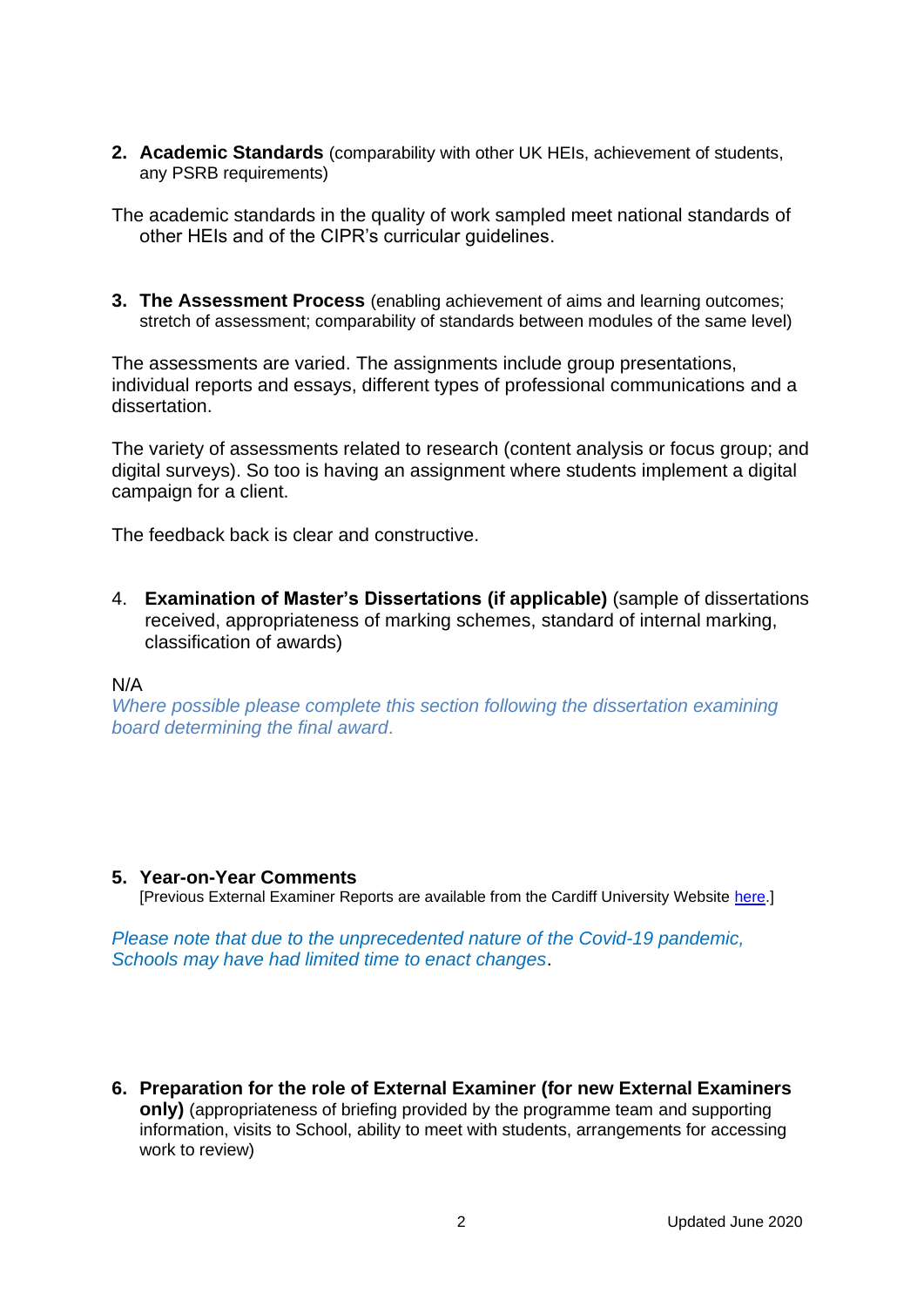**2. Academic Standards** (comparability with other UK HEIs, achievement of students, any PSRB requirements)

The academic standards in the quality of work sampled meet national standards of other HEIs and of the CIPR's curricular guidelines.

**3. The Assessment Process** (enabling achievement of aims and learning outcomes; stretch of assessment; comparability of standards between modules of the same level)

The assessments are varied. The assignments include group presentations, individual reports and essays, different types of professional communications and a dissertation.

The variety of assessments related to research (content analysis or focus group; and digital surveys). So too is having an assignment where students implement a digital campaign for a client.

The feedback back is clear and constructive.

4. **Examination of Master's Dissertations (if applicable)** (sample of dissertations received, appropriateness of marking schemes, standard of internal marking, classification of awards)

### N/A

*Where possible please complete this section following the dissertation examining board determining the final award*.

### **5. Year-on-Year Comments**

[Previous External Examiner Reports are available from the Cardiff University Website [here.](https://www.cardiff.ac.uk/public-information/quality-and-standards/external-examiner-reports)]

*Please note that due to the unprecedented nature of the Covid-19 pandemic, Schools may have had limited time to enact changes*.

**6. Preparation for the role of External Examiner (for new External Examiners only)** (appropriateness of briefing provided by the programme team and supporting information, visits to School, ability to meet with students, arrangements for accessing work to review)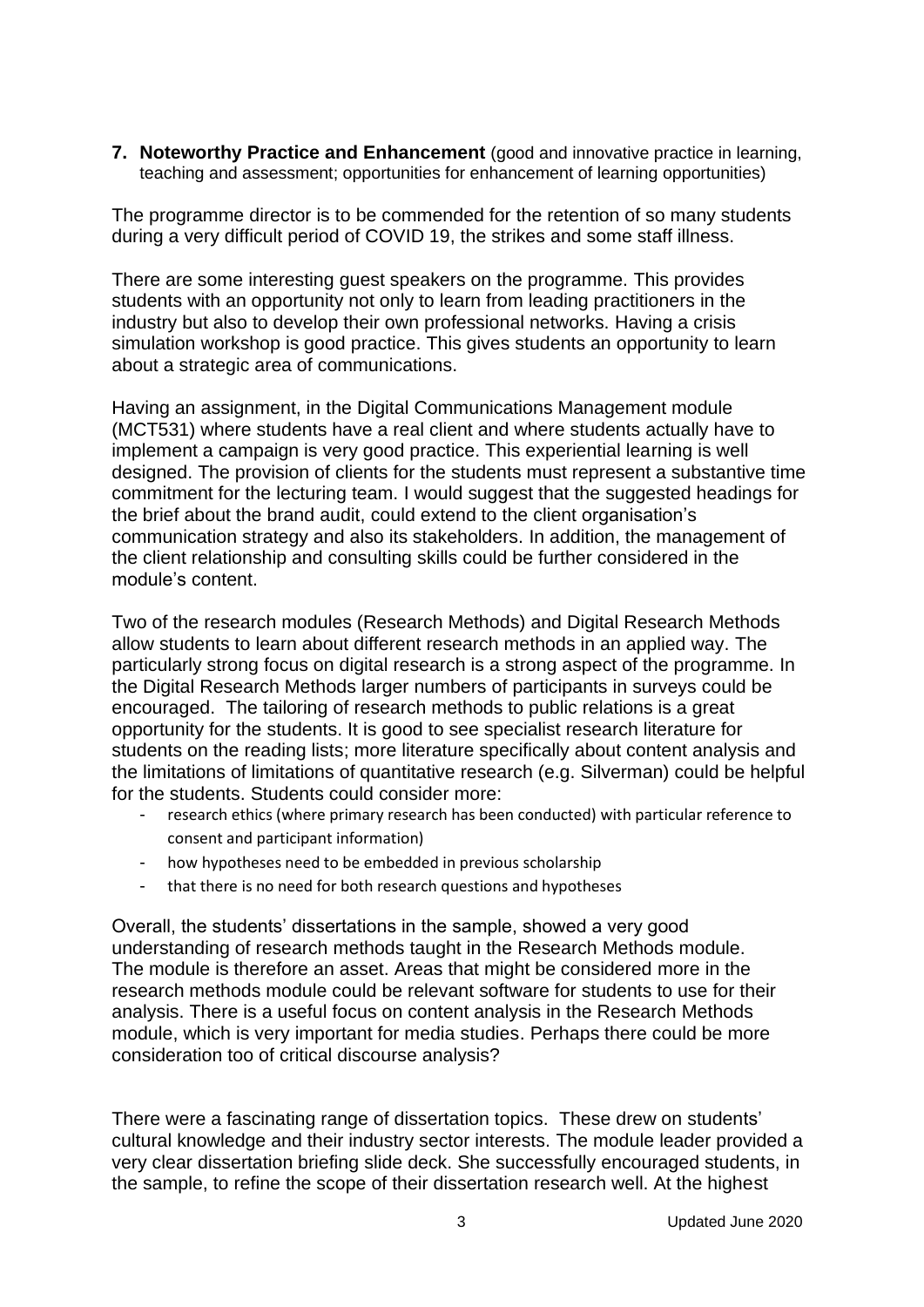**7. Noteworthy Practice and Enhancement** (good and innovative practice in learning, teaching and assessment; opportunities for enhancement of learning opportunities)

The programme director is to be commended for the retention of so many students during a very difficult period of COVID 19, the strikes and some staff illness.

There are some interesting guest speakers on the programme. This provides students with an opportunity not only to learn from leading practitioners in the industry but also to develop their own professional networks. Having a crisis simulation workshop is good practice. This gives students an opportunity to learn about a strategic area of communications.

Having an assignment, in the Digital Communications Management module (MCT531) where students have a real client and where students actually have to implement a campaign is very good practice. This experiential learning is well designed. The provision of clients for the students must represent a substantive time commitment for the lecturing team. I would suggest that the suggested headings for the brief about the brand audit, could extend to the client organisation's communication strategy and also its stakeholders. In addition, the management of the client relationship and consulting skills could be further considered in the module's content.

Two of the research modules (Research Methods) and Digital Research Methods allow students to learn about different research methods in an applied way. The particularly strong focus on digital research is a strong aspect of the programme. In the Digital Research Methods larger numbers of participants in surveys could be encouraged. The tailoring of research methods to public relations is a great opportunity for the students. It is good to see specialist research literature for students on the reading lists; more literature specifically about content analysis and the limitations of limitations of quantitative research (e.g. Silverman) could be helpful for the students. Students could consider more:

- research ethics (where primary research has been conducted) with particular reference to consent and participant information)
- how hypotheses need to be embedded in previous scholarship
- that there is no need for both research questions and hypotheses

Overall, the students' dissertations in the sample, showed a very good understanding of research methods taught in the Research Methods module. The module is therefore an asset. Areas that might be considered more in the research methods module could be relevant software for students to use for their analysis. There is a useful focus on content analysis in the Research Methods module, which is very important for media studies. Perhaps there could be more consideration too of critical discourse analysis?

There were a fascinating range of dissertation topics. These drew on students' cultural knowledge and their industry sector interests. The module leader provided a very clear dissertation briefing slide deck. She successfully encouraged students, in the sample, to refine the scope of their dissertation research well. At the highest